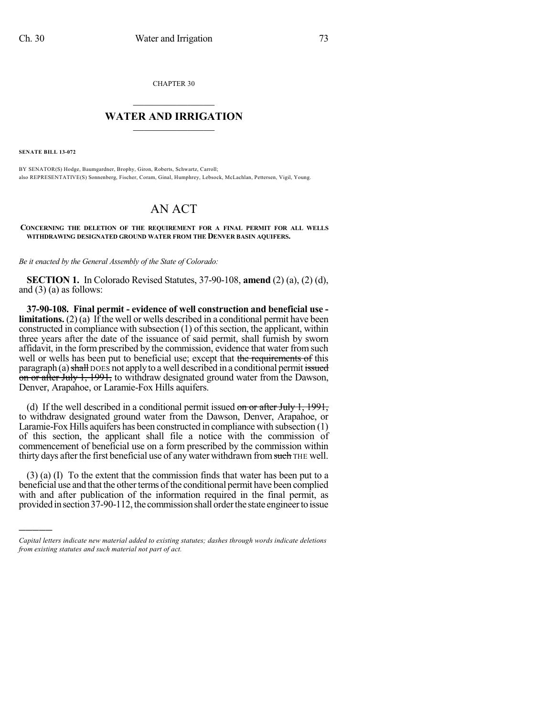CHAPTER 30

## $\overline{\phantom{a}}$  . The set of the set of the set of the set of the set of the set of the set of the set of the set of the set of the set of the set of the set of the set of the set of the set of the set of the set of the set o **WATER AND IRRIGATION**  $\_$   $\_$

**SENATE BILL 13-072**

)))))

BY SENATOR(S) Hodge, Baumgardner, Brophy, Giron, Roberts, Schwartz, Carroll; also REPRESENTATIVE(S) Sonnenberg, Fischer, Coram, Ginal, Humphrey, Lebsock, McLachlan, Pettersen, Vigil, Young.

## AN ACT

**CONCERNING THE DELETION OF THE REQUIREMENT FOR A FINAL PERMIT FOR ALL WELLS WITHDRAWING DESIGNATED GROUND WATER FROM THE DENVER BASIN AQUIFERS.**

*Be it enacted by the General Assembly of the State of Colorado:*

**SECTION 1.** In Colorado Revised Statutes, 37-90-108, **amend** (2) (a), (2) (d), and  $(3)$  (a) as follows:

**37-90-108. Final permit - evidence of well construction and beneficial use limitations.** (2) (a) If the well or wells described in a conditional permit have been constructed in compliance with subsection  $(1)$  of this section, the applicant, within three years after the date of the issuance of said permit, shall furnish by sworn affidavit, in the form prescribed by the commission, evidence that water from such well or wells has been put to beneficial use; except that the requirements of this paragraph (a) shall DOES not apply to a well described in a conditional permit issued on or after July 1, 1991, to withdraw designated ground water from the Dawson, Denver, Arapahoe, or Laramie-Fox Hills aquifers.

(d) If the well described in a conditional permit issued on or after July 1,  $1991$ , to withdraw designated ground water from the Dawson, Denver, Arapahoe, or Laramie-Fox Hills aquifers has been constructed in compliance with subsection (1) of this section, the applicant shall file a notice with the commission of commencement of beneficial use on a form prescribed by the commission within thirty days after the first beneficial use of any water withdrawn from such THE well.

(3) (a) (I) To the extent that the commission finds that water has been put to a beneficial use and that the other terms of the conditional permit have been complied with and after publication of the information required in the final permit, as provided in section 37-90-112, the commission shall order the state engineer to issue

*Capital letters indicate new material added to existing statutes; dashes through words indicate deletions from existing statutes and such material not part of act.*